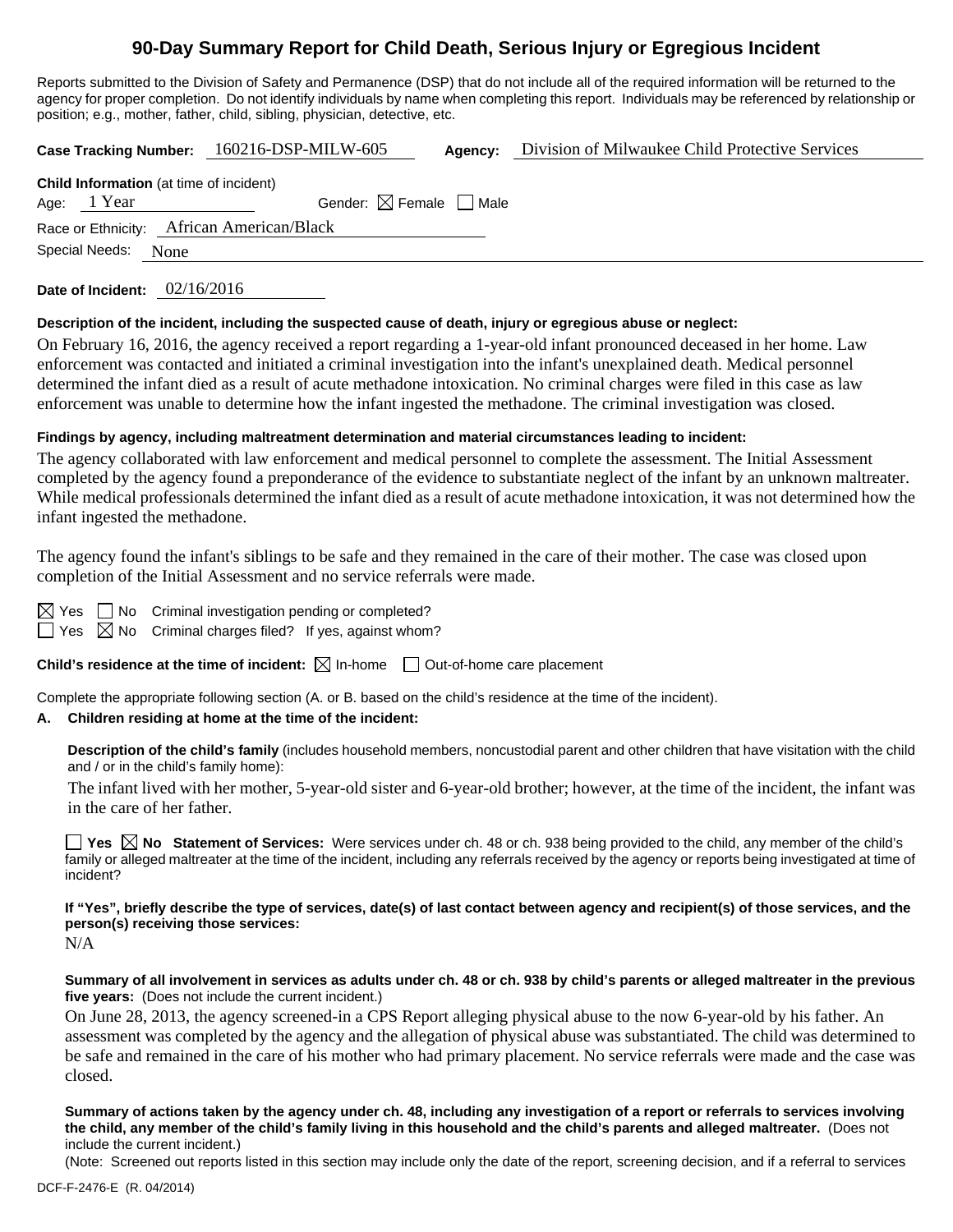## **90-Day Summary Report for Child Death, Serious Injury or Egregious Incident**

Reports submitted to the Division of Safety and Permanence (DSP) that do not include all of the required information will be returned to the agency for proper completion. Do not identify individuals by name when completing this report. Individuals may be referenced by relationship or position; e.g., mother, father, child, sibling, physician, detective, etc.

**Case Tracking Number:** 160216-DSP-MILW-605 **Agency:** Division of Milwaukee Child Protective Services

| <b>Child Information</b> (at time of incident) |             |                                        |  |  |  |  |  |
|------------------------------------------------|-------------|----------------------------------------|--|--|--|--|--|
|                                                | Age: 1 Year | Gender: $\boxtimes$ Female $\Box$ Male |  |  |  |  |  |
| Race or Ethnicity: African American/Black      |             |                                        |  |  |  |  |  |
| Special Needs: None                            |             |                                        |  |  |  |  |  |

**Date of Incident:** 02/16/2016

### **Description of the incident, including the suspected cause of death, injury or egregious abuse or neglect:**

On February 16, 2016, the agency received a report regarding a 1-year-old infant pronounced deceased in her home. Law enforcement was contacted and initiated a criminal investigation into the infant's unexplained death. Medical personnel determined the infant died as a result of acute methadone intoxication. No criminal charges were filed in this case as law enforcement was unable to determine how the infant ingested the methadone. The criminal investigation was closed.

### **Findings by agency, including maltreatment determination and material circumstances leading to incident:**

The agency collaborated with law enforcement and medical personnel to complete the assessment. The Initial Assessment completed by the agency found a preponderance of the evidence to substantiate neglect of the infant by an unknown maltreater. While medical professionals determined the infant died as a result of acute methadone intoxication, it was not determined how the infant ingested the methadone.

The agency found the infant's siblings to be safe and they remained in the care of their mother. The case was closed upon completion of the Initial Assessment and no service referrals were made.

 $\Box$  No Criminal investigation pending or completed?

 $\Box$  Yes  $\boxtimes$  No Criminal charges filed? If yes, against whom?

**Child's residence at the time of incident:**  $\boxtimes$  In-home  $\Box$  Out-of-home care placement

Complete the appropriate following section (A. or B. based on the child's residence at the time of the incident).

### **A. Children residing at home at the time of the incident:**

**Description of the child's family** (includes household members, noncustodial parent and other children that have visitation with the child and / or in the child's family home):

 The infant lived with her mother, 5-year-old sister and 6-year-old brother; however, at the time of the incident, the infant was in the care of her father.

**Yes No Statement of Services:** Were services under ch. 48 or ch. 938 being provided to the child, any member of the child's family or alleged maltreater at the time of the incident, including any referrals received by the agency or reports being investigated at time of incident?

**If "Yes", briefly describe the type of services, date(s) of last contact between agency and recipient(s) of those services, and the person(s) receiving those services:** 

N/A

**Summary of all involvement in services as adults under ch. 48 or ch. 938 by child's parents or alleged maltreater in the previous five years:** (Does not include the current incident.)

On June 28, 2013, the agency screened-in a CPS Report alleging physical abuse to the now 6-year-old by his father. An assessment was completed by the agency and the allegation of physical abuse was substantiated. The child was determined to be safe and remained in the care of his mother who had primary placement. No service referrals were made and the case was closed.

**Summary of actions taken by the agency under ch. 48, including any investigation of a report or referrals to services involving the child, any member of the child's family living in this household and the child's parents and alleged maltreater.** (Does not include the current incident.)

(Note: Screened out reports listed in this section may include only the date of the report, screening decision, and if a referral to services